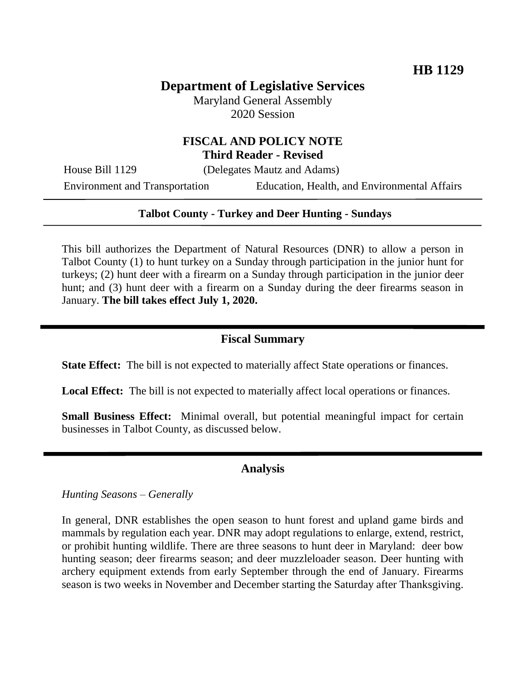# **Department of Legislative Services**

Maryland General Assembly 2020 Session

## **FISCAL AND POLICY NOTE Third Reader - Revised**

House Bill 1129 (Delegates Mautz and Adams)

Environment and Transportation Education, Health, and Environmental Affairs

#### **Talbot County - Turkey and Deer Hunting - Sundays**

This bill authorizes the Department of Natural Resources (DNR) to allow a person in Talbot County (1) to hunt turkey on a Sunday through participation in the junior hunt for turkeys; (2) hunt deer with a firearm on a Sunday through participation in the junior deer hunt; and (3) hunt deer with a firearm on a Sunday during the deer firearms season in January. **The bill takes effect July 1, 2020.** 

### **Fiscal Summary**

**State Effect:** The bill is not expected to materially affect State operations or finances.

**Local Effect:** The bill is not expected to materially affect local operations or finances.

**Small Business Effect:** Minimal overall, but potential meaningful impact for certain businesses in Talbot County, as discussed below.

#### **Analysis**

*Hunting Seasons – Generally*

In general, DNR establishes the open season to hunt forest and upland game birds and mammals by regulation each year. DNR may adopt regulations to enlarge, extend, restrict, or prohibit hunting wildlife. There are three seasons to hunt deer in Maryland: deer bow hunting season; deer firearms season; and deer muzzleloader season. Deer hunting with archery equipment extends from early September through the end of January. Firearms season is two weeks in November and December starting the Saturday after Thanksgiving.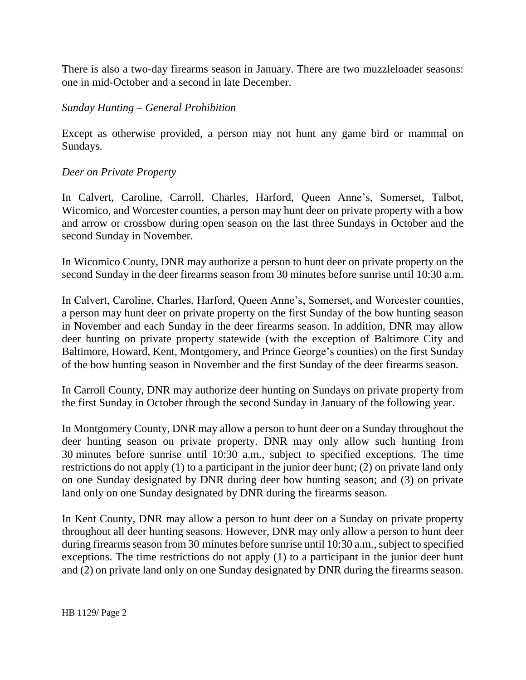There is also a two-day firearms season in January. There are two muzzleloader seasons: one in mid-October and a second in late December.

### *Sunday Hunting – General Prohibition*

Except as otherwise provided, a person may not hunt any game bird or mammal on Sundays.

#### *Deer on Private Property*

In Calvert, Caroline, Carroll, Charles, Harford, Queen Anne's, Somerset, Talbot, Wicomico, and Worcester counties, a person may hunt deer on private property with a bow and arrow or crossbow during open season on the last three Sundays in October and the second Sunday in November.

In Wicomico County, DNR may authorize a person to hunt deer on private property on the second Sunday in the deer firearms season from 30 minutes before sunrise until 10:30 a.m.

In Calvert, Caroline, Charles, Harford, Queen Anne's, Somerset, and Worcester counties, a person may hunt deer on private property on the first Sunday of the bow hunting season in November and each Sunday in the deer firearms season. In addition, DNR may allow deer hunting on private property statewide (with the exception of Baltimore City and Baltimore, Howard, Kent, Montgomery, and Prince George's counties) on the first Sunday of the bow hunting season in November and the first Sunday of the deer firearms season.

In Carroll County, DNR may authorize deer hunting on Sundays on private property from the first Sunday in October through the second Sunday in January of the following year.

In Montgomery County, DNR may allow a person to hunt deer on a Sunday throughout the deer hunting season on private property. DNR may only allow such hunting from 30 minutes before sunrise until 10:30 a.m., subject to specified exceptions. The time restrictions do not apply (1) to a participant in the junior deer hunt; (2) on private land only on one Sunday designated by DNR during deer bow hunting season; and (3) on private land only on one Sunday designated by DNR during the firearms season.

In Kent County, DNR may allow a person to hunt deer on a Sunday on private property throughout all deer hunting seasons. However, DNR may only allow a person to hunt deer during firearms season from 30 minutes before sunrise until 10:30 a.m., subject to specified exceptions. The time restrictions do not apply (1) to a participant in the junior deer hunt and (2) on private land only on one Sunday designated by DNR during the firearms season.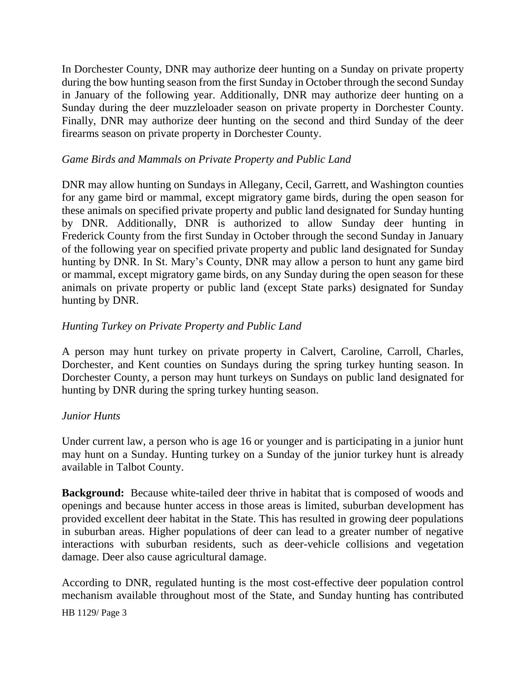In Dorchester County, DNR may authorize deer hunting on a Sunday on private property during the bow hunting season from the first Sunday in October through the second Sunday in January of the following year. Additionally, DNR may authorize deer hunting on a Sunday during the deer muzzleloader season on private property in Dorchester County. Finally, DNR may authorize deer hunting on the second and third Sunday of the deer firearms season on private property in Dorchester County.

#### *Game Birds and Mammals on Private Property and Public Land*

DNR may allow hunting on Sundays in Allegany, Cecil, Garrett, and Washington counties for any game bird or mammal, except migratory game birds, during the open season for these animals on specified private property and public land designated for Sunday hunting by DNR. Additionally, DNR is authorized to allow Sunday deer hunting in Frederick County from the first Sunday in October through the second Sunday in January of the following year on specified private property and public land designated for Sunday hunting by DNR. In St. Mary's County, DNR may allow a person to hunt any game bird or mammal, except migratory game birds, on any Sunday during the open season for these animals on private property or public land (except State parks) designated for Sunday hunting by DNR.

### *Hunting Turkey on Private Property and Public Land*

A person may hunt turkey on private property in Calvert, Caroline, Carroll, Charles, Dorchester, and Kent counties on Sundays during the spring turkey hunting season. In Dorchester County, a person may hunt turkeys on Sundays on public land designated for hunting by DNR during the spring turkey hunting season.

#### *Junior Hunts*

Under current law, a person who is age 16 or younger and is participating in a junior hunt may hunt on a Sunday. Hunting turkey on a Sunday of the junior turkey hunt is already available in Talbot County.

**Background:** Because white-tailed deer thrive in habitat that is composed of woods and openings and because hunter access in those areas is limited, suburban development has provided excellent deer habitat in the State. This has resulted in growing deer populations in suburban areas. Higher populations of deer can lead to a greater number of negative interactions with suburban residents, such as deer-vehicle collisions and vegetation damage. Deer also cause agricultural damage.

According to DNR, regulated hunting is the most cost-effective deer population control mechanism available throughout most of the State, and Sunday hunting has contributed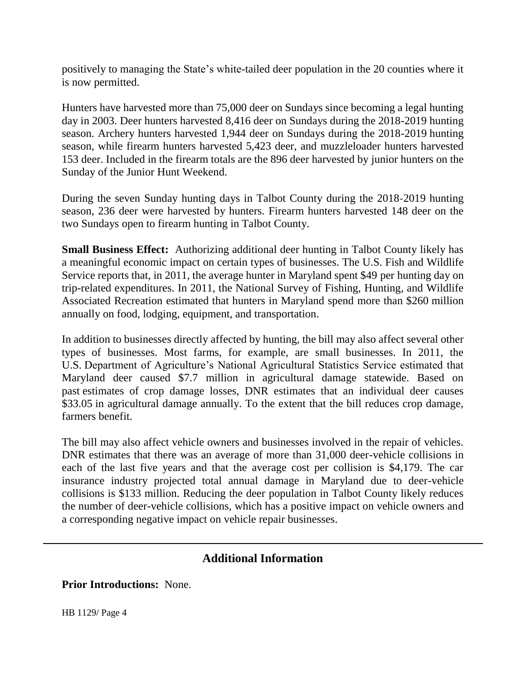positively to managing the State's white-tailed deer population in the 20 counties where it is now permitted.

Hunters have harvested more than 75,000 deer on Sundays since becoming a legal hunting day in 2003. Deer hunters harvested 8,416 deer on Sundays during the 2018-2019 hunting season. Archery hunters harvested 1,944 deer on Sundays during the 2018-2019 hunting season, while firearm hunters harvested 5,423 deer, and muzzleloader hunters harvested 153 deer. Included in the firearm totals are the 896 deer harvested by junior hunters on the Sunday of the Junior Hunt Weekend.

During the seven Sunday hunting days in Talbot County during the 2018-2019 hunting season, 236 deer were harvested by hunters. Firearm hunters harvested 148 deer on the two Sundays open to firearm hunting in Talbot County.

**Small Business Effect:** Authorizing additional deer hunting in Talbot County likely has a meaningful economic impact on certain types of businesses. The U.S. Fish and Wildlife Service reports that, in 2011, the average hunter in Maryland spent \$49 per hunting day on trip-related expenditures. In 2011, the National Survey of Fishing, Hunting, and Wildlife Associated Recreation estimated that hunters in Maryland spend more than \$260 million annually on food, lodging, equipment, and transportation.

In addition to businesses directly affected by hunting, the bill may also affect several other types of businesses. Most farms, for example, are small businesses. In 2011, the U.S. Department of Agriculture's National Agricultural Statistics Service estimated that Maryland deer caused \$7.7 million in agricultural damage statewide. Based on past estimates of crop damage losses, DNR estimates that an individual deer causes \$33.05 in agricultural damage annually. To the extent that the bill reduces crop damage, farmers benefit.

The bill may also affect vehicle owners and businesses involved in the repair of vehicles. DNR estimates that there was an average of more than 31,000 deer-vehicle collisions in each of the last five years and that the average cost per collision is \$4,179. The car insurance industry projected total annual damage in Maryland due to deer-vehicle collisions is \$133 million. Reducing the deer population in Talbot County likely reduces the number of deer-vehicle collisions, which has a positive impact on vehicle owners and a corresponding negative impact on vehicle repair businesses.

## **Additional Information**

**Prior Introductions:** None.

HB 1129/ Page 4